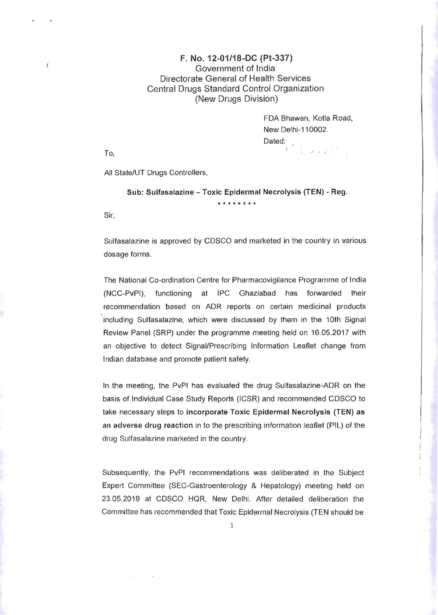## F. No. 12·01/18~DC (Pt-337) Government of India Directorate General of Health Services Central Drugs Standard Control Organization (New Drugs Division)

FDA Shawan, Kotla Road, New Delhi-110002. Dated: 

To,

 $\epsilon$ 

All State/UT Drugs Controllers,

## Sub: Sulfasalazine - Toxic Epidermal Necrolysis (TEN) - Reg. \* \* \* \* \* \* \* \*

Sir,

Sulfasalazine is approved by CDSCO and marketed in the country in various dosage forms .

The National Co-ordination Centre for Pharmacovigilance Programme of India (NCC-PvPI), functioning at IPC Ghaziabad has forwarded their recommendation based on ADR reports on certain medicinal products including Sulfasalazine, which were discussed by them in the 10th Signal Review Panel (SRP) under the programme meeting held on 16.05.2017 with an objective to detect Signal/Prescribing Information Leaflet change from Indian database and promote patient safety.

In the meeting, the PvPI has evaluated the drug Sulfasalazine-ADR on the basis of Individual Case Study Reports (ICSR) and recommended CDSCO to take necessary steps to incorporate Toxic Epidermal Necrolysis (TEN) as an adverse drug reaction in to the prescribing information leaflet (PIL) of the drug Sulfasalazine marketed in the country.

Subsequently, the PvPI recommendations was deliberated in the Subject Expert Comm ittee (SEC-Gastroenterology & Hepatology) meeting held on 23.05.2019 at CDSCO HQR, New Delhi. After detailed deliberation the Committee has recommended that Toxic Epidermal Necrolysis (TEN should be